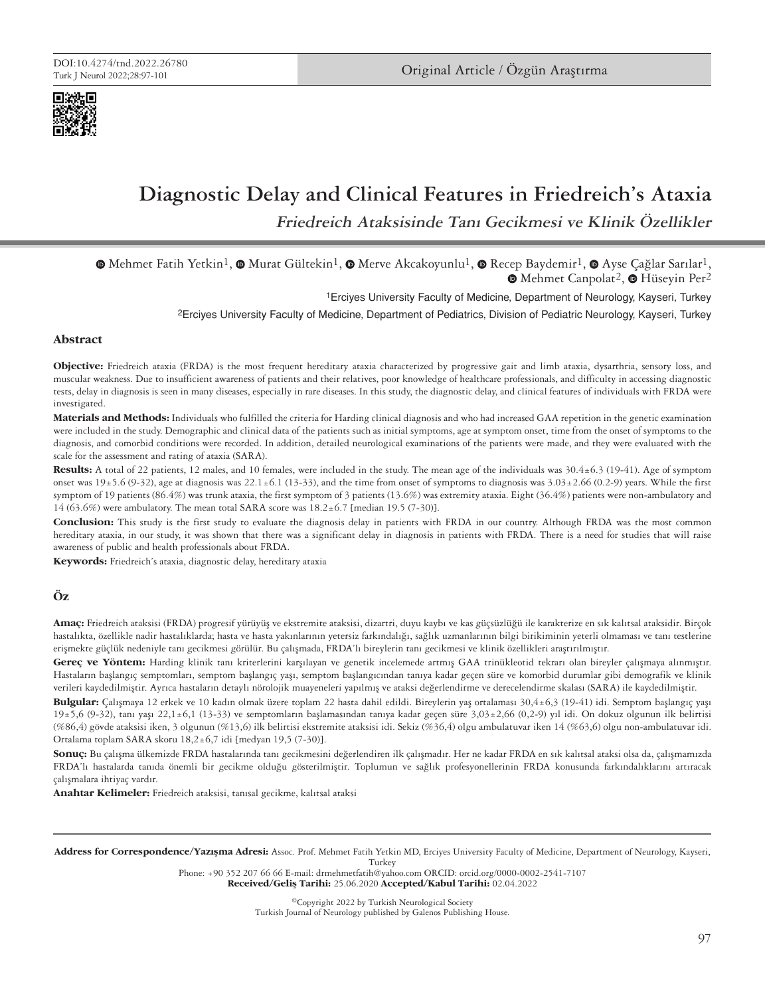

# **Diagnostic Delay and Clinical Features in Friedreich's Ataxia**

**Friedreich Ataksisinde Tanı Gecikmesi ve Klinik Özellikler**

 $\bullet$ Mehmet Fatih Yetkin<sup>1</sup>,  $\bullet$  Murat Gültekin<sup>1</sup>,  $\bullet$  Merve Akcakoyunlu<sup>1</sup>,  $\bullet$  Recep Baydemir<sup>1</sup>,  $\bullet$  Ayse Cağlar Sarılar<sup>1</sup>, **■Mehmet Canpolat<sup>2</sup>, ■ Hüseyin Per<sup>2</sup>** 

1Erciyes University Faculty of Medicine, Department of Neurology, Kayseri, Turkey

2Erciyes University Faculty of Medicine, Department of Pediatrics, Division of Pediatric Neurology, Kayseri, Turkey

#### **Abstract**

**Objective:** Friedreich ataxia (FRDA) is the most frequent hereditary ataxia characterized by progressive gait and limb ataxia, dysarthria, sensory loss, and muscular weakness. Due to insufficient awareness of patients and their relatives, poor knowledge of healthcare professionals, and difficulty in accessing diagnostic tests, delay in diagnosis is seen in many diseases, especially in rare diseases. In this study, the diagnostic delay, and clinical features of individuals with FRDA were investigated.

**Materials and Methods:** Individuals who fulfilled the criteria for Harding clinical diagnosis and who had increased GAA repetition in the genetic examination were included in the study. Demographic and clinical data of the patients such as initial symptoms, age at symptom onset, time from the onset of symptoms to the diagnosis, and comorbid conditions were recorded. In addition, detailed neurological examinations of the patients were made, and they were evaluated with the scale for the assessment and rating of ataxia (SARA).

**Results:** A total of 22 patients, 12 males, and 10 females, were included in the study. The mean age of the individuals was 30.4±6.3 (19-41). Age of symptom onset was  $19±5.6$  (9-32), age at diagnosis was  $22.1±6.1$  (13-33), and the time from onset of symptoms to diagnosis was  $3.03±2.66$  (0.2-9) years. While the first symptom of 19 patients (86.4%) was trunk ataxia, the first symptom of 3 patients (13.6%) was extremity ataxia. Eight (36.4%) patients were non-ambulatory and 14 (63.6%) were ambulatory. The mean total SARA score was 18.2±6.7 [median 19.5 (7-30)].

**Conclusion:** This study is the first study to evaluate the diagnosis delay in patients with FRDA in our country. Although FRDA was the most common hereditary ataxia, in our study, it was shown that there was a significant delay in diagnosis in patients with FRDA. There is a need for studies that will raise awareness of public and health professionals about FRDA.

**Keywords:** Friedreich's ataxia, diagnostic delay, hereditary ataxia

# **Öz**

**Amaç:** Friedreich ataksisi (FRDA) progresif yürüyüş ve ekstremite ataksisi, dizartri, duyu kaybı ve kas güçsüzlüğü ile karakterize en sık kalıtsal ataksidir. Birçok hastalıkta, özellikle nadir hastalıklarda; hasta ve hasta yakınlarının yetersiz farkındalığı, sağlık uzmanlarının bilgi birikiminin yeterli olmaması ve tanı testlerine erişmekte güçlük nedeniyle tanı gecikmesi görülür. Bu çalışmada, FRDA'lı bireylerin tanı gecikmesi ve klinik özellikleri araştırılmıştır.

**Gereç ve Yöntem:** Harding klinik tanı kriterlerini karşılayan ve genetik incelemede artmış GAA trinükleotid tekrarı olan bireyler çalışmaya alınmıştır. Hastaların başlangıç semptomları, semptom başlangıç yaşı, semptom başlangıcından tanıya kadar geçen süre ve komorbid durumlar gibi demografik ve klinik verileri kaydedilmiştir. Ayrıca hastaların detaylı nörolojik muayeneleri yapılmış ve ataksi değerlendirme ve derecelendirme skalası (SARA) ile kaydedilmiştir.

**Bulgular:** Çalışmaya 12 erkek ve 10 kadın olmak üzere toplam 22 hasta dahil edildi. Bireylerin yaş ortalaması 30,4±6,3 (19-41) idi. Semptom başlangıç yaşı  $19±5,6$  (9-32), tanı yaşı 22,1±6,1 (13-33) ve semptomların başlamasından tanıya kadar geçen süre 3,03±2,66 (0,2-9) yıl idi. On dokuz olgunun ilk belirtisi (%86,4) gövde ataksisi iken, 3 olgunun (%13,6) ilk belirtisi ekstremite ataksisi idi. Sekiz (%36,4) olgu ambulatuvar iken 14 (%63,6) olgu non-ambulatuvar idi. Ortalama toplam SARA skoru 18,2±6,7 idi [medyan 19,5 (7-30)].

**Sonuç:** Bu çalışma ülkemizde FRDA hastalarında tanı gecikmesini değerlendiren ilk çalışmadır. Her ne kadar FRDA en sık kalıtsal ataksi olsa da, çalışmamızda FRDA'lı hastalarda tanıda önemli bir gecikme olduğu gösterilmiştir. Toplumun ve sağlık profesyonellerinin FRDA konusunda farkındalıklarını artıracak çalışmalara ihtiyaç vardır.

**Anahtar Kelimeler:** Friedreich ataksisi, tanısal gecikme, kalıtsal ataksi

Address for Correspondence/Yazışma Adresi: Assoc. Prof. Mehmet Fatih Yetkin MD, Erciyes University Faculty of Medicine, Department of Neurology, Kayseri, Turkey

Phone: +90 352 207 66 66 E-mail: drmehmetfatih@yahoo.com ORCID: orcid.org/0000-0002-2541-7107

Received/Geliş Tarihi: 25.06.2020 Accepted/Kabul Tarihi: 02.04.2022

©Copyright 2022 by Turkish Neurological Society Turkish Journal of Neurology published by Galenos Publishing House.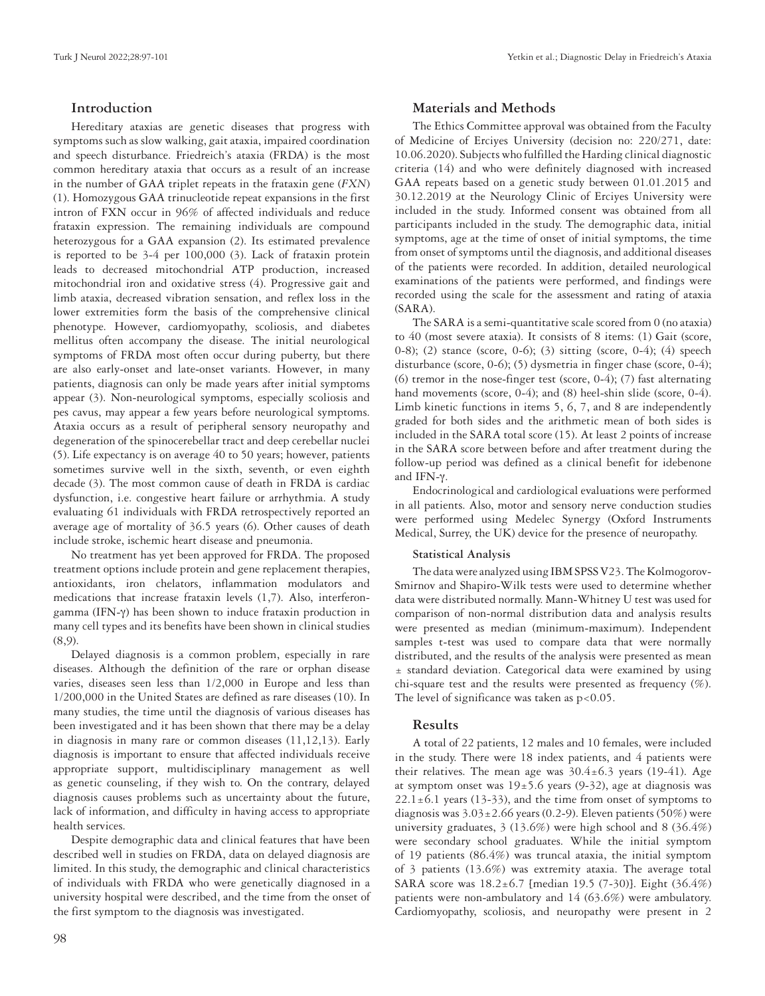## **Introduction**

Hereditary ataxias are genetic diseases that progress with symptoms such as slow walking, gait ataxia, impaired coordination and speech disturbance. Friedreich's ataxia (FRDA) is the most common hereditary ataxia that occurs as a result of an increase in the number of GAA triplet repeats in the frataxin gene (*FXN*) (1). Homozygous GAA trinucleotide repeat expansions in the first intron of FXN occur in 96% of affected individuals and reduce frataxin expression. The remaining individuals are compound heterozygous for a GAA expansion (2). Its estimated prevalence is reported to be 3-4 per 100,000 (3). Lack of frataxin protein leads to decreased mitochondrial ATP production, increased mitochondrial iron and oxidative stress (4). Progressive gait and limb ataxia, decreased vibration sensation, and reflex loss in the lower extremities form the basis of the comprehensive clinical phenotype. However, cardiomyopathy, scoliosis, and diabetes mellitus often accompany the disease. The initial neurological symptoms of FRDA most often occur during puberty, but there are also early-onset and late-onset variants. However, in many patients, diagnosis can only be made years after initial symptoms appear (3). Non-neurological symptoms, especially scoliosis and pes cavus, may appear a few years before neurological symptoms. Ataxia occurs as a result of peripheral sensory neuropathy and degeneration of the spinocerebellar tract and deep cerebellar nuclei (5). Life expectancy is on average 40 to 50 years; however, patients sometimes survive well in the sixth, seventh, or even eighth decade (3). The most common cause of death in FRDA is cardiac dysfunction, i.e. congestive heart failure or arrhythmia. A study evaluating 61 individuals with FRDA retrospectively reported an average age of mortality of 36.5 years (6). Other causes of death include stroke, ischemic heart disease and pneumonia.

No treatment has yet been approved for FRDA. The proposed treatment options include protein and gene replacement therapies, antioxidants, iron chelators, inflammation modulators and medications that increase frataxin levels (1,7). Also, interferongamma (IFN-γ) has been shown to induce frataxin production in many cell types and its benefits have been shown in clinical studies (8,9).

Delayed diagnosis is a common problem, especially in rare diseases. Although the definition of the rare or orphan disease varies, diseases seen less than 1/2,000 in Europe and less than 1/200,000 in the United States are defined as rare diseases (10). In many studies, the time until the diagnosis of various diseases has been investigated and it has been shown that there may be a delay in diagnosis in many rare or common diseases (11,12,13). Early diagnosis is important to ensure that affected individuals receive appropriate support, multidisciplinary management as well as genetic counseling, if they wish to. On the contrary, delayed diagnosis causes problems such as uncertainty about the future, lack of information, and difficulty in having access to appropriate health services.

Despite demographic data and clinical features that have been described well in studies on FRDA, data on delayed diagnosis are limited. In this study, the demographic and clinical characteristics of individuals with FRDA who were genetically diagnosed in a university hospital were described, and the time from the onset of the first symptom to the diagnosis was investigated.

#### **Materials and Methods**

The Ethics Committee approval was obtained from the Faculty of Medicine of Erciyes University (decision no: 220/271, date: 10.06.2020). Subjects who fulfilled the Harding clinical diagnostic criteria (14) and who were definitely diagnosed with increased GAA repeats based on a genetic study between 01.01.2015 and 30.12.2019 at the Neurology Clinic of Erciyes University were included in the study. Informed consent was obtained from all participants included in the study. The demographic data, initial symptoms, age at the time of onset of initial symptoms, the time from onset of symptoms until the diagnosis, and additional diseases of the patients were recorded. In addition, detailed neurological examinations of the patients were performed, and findings were recorded using the scale for the assessment and rating of ataxia (SARA).

The SARA is a semi-quantitative scale scored from 0 (no ataxia) to 40 (most severe ataxia). It consists of 8 items: (1) Gait (score, 0-8); (2) stance (score, 0-6); (3) sitting (score, 0-4); (4) speech disturbance (score, 0-6); (5) dysmetria in finger chase (score, 0-4); (6) tremor in the nose-finger test (score, 0-4); (7) fast alternating hand movements (score, 0-4); and (8) heel-shin slide (score, 0-4). Limb kinetic functions in items 5, 6, 7, and 8 are independently graded for both sides and the arithmetic mean of both sides is included in the SARA total score (15). At least 2 points of increase in the SARA score between before and after treatment during the follow-up period was defined as a clinical benefit for idebenone and IFN-γ.

Endocrinological and cardiological evaluations were performed in all patients. Also, motor and sensory nerve conduction studies were performed using Medelec Synergy (Oxford Instruments Medical, Surrey, the UK) device for the presence of neuropathy.

# **Statistical Analysis**

The data were analyzed using IBM SPSS V23. The Kolmogorov-Smirnov and Shapiro-Wilk tests were used to determine whether data were distributed normally. Mann-Whitney U test was used for comparison of non-normal distribution data and analysis results were presented as median (minimum-maximum). Independent samples t-test was used to compare data that were normally distributed, and the results of the analysis were presented as mean ± standard deviation. Categorical data were examined by using chi-square test and the results were presented as frequency (%). The level of significance was taken as  $p < 0.05$ .

#### **Results**

A total of 22 patients, 12 males and 10 females, were included in the study. There were 18 index patients, and 4 patients were their relatives. The mean age was  $30.4 \pm 6.3$  years (19-41). Age at symptom onset was  $19±5.6$  years (9-32), age at diagnosis was  $22.1 \pm 6.1$  years (13-33), and the time from onset of symptoms to diagnosis was  $3.03 \pm 2.66$  years (0.2-9). Eleven patients (50%) were university graduates, 3 (13.6%) were high school and 8 (36.4%) were secondary school graduates. While the initial symptom of 19 patients (86.4%) was truncal ataxia, the initial symptom of 3 patients (13.6%) was extremity ataxia. The average total SARA score was 18.2±6.7 [median 19.5 (7-30)]. Eight (36.4%) patients were non-ambulatory and 14 (63.6%) were ambulatory. Cardiomyopathy, scoliosis, and neuropathy were present in 2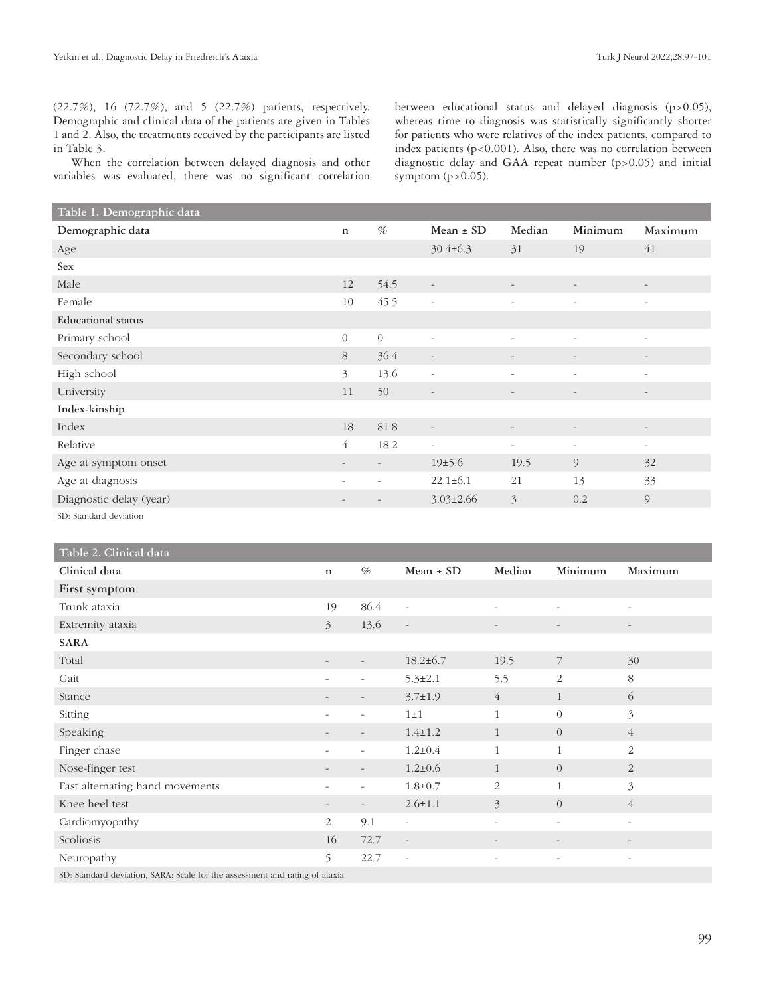(22.7%), 16 (72.7%), and 5 (22.7%) patients, respectively. Demographic and clinical data of the patients are given in Tables 1 and 2. Also, the treatments received by the participants are listed in Table 3.

When the correlation between delayed diagnosis and other variables was evaluated, there was no significant correlation

between educational status and delayed diagnosis (p>0.05), whereas time to diagnosis was statistically significantly shorter for patients who were relatives of the index patients, compared to index patients (p<0.001). Also, there was no correlation between diagnostic delay and GAA repeat number (p>0.05) and initial symptom  $(p>0.05)$ .

| Table 1. Demographic data |                          |                          |                          |                          |                          |                          |
|---------------------------|--------------------------|--------------------------|--------------------------|--------------------------|--------------------------|--------------------------|
| Demographic data          | $\mathbf n$              | %                        | Mean $\pm$ SD            | Median                   | Minimum                  | Maximum                  |
| Age                       |                          |                          | $30.4 \pm 6.3$           | 31                       | 19                       | 41                       |
| <b>Sex</b>                |                          |                          |                          |                          |                          |                          |
| Male                      | 12                       | 54.5                     | $\overline{\phantom{a}}$ | $\overline{\phantom{a}}$ | $\overline{\phantom{a}}$ | $\overline{\phantom{a}}$ |
| Female                    | 10                       | 45.5                     | $\overline{\phantom{a}}$ | $\overline{\phantom{a}}$ | $\sim$                   | $\bar{a}$                |
| <b>Educational</b> status |                          |                          |                          |                          |                          |                          |
| Primary school            | $\Omega$                 | $\theta$                 | $\bar{a}$                | $\overline{\phantom{a}}$ | $\overline{\phantom{a}}$ | $-$                      |
| Secondary school          | 8                        | 36.4                     | $\overline{\phantom{a}}$ |                          |                          | $\qquad \qquad -$        |
| High school               | $\mathfrak{Z}$           | 13.6                     | $\overline{\phantom{a}}$ | $\overline{\phantom{a}}$ | $\overline{\phantom{a}}$ | $\overline{\phantom{a}}$ |
| University                | 11                       | 50                       | $\overline{\phantom{a}}$ | $\overline{\phantom{a}}$ | $\overline{\phantom{a}}$ | $\overline{\phantom{a}}$ |
| Index-kinship             |                          |                          |                          |                          |                          |                          |
| Index                     | 18                       | 81.8                     | $\overline{\phantom{a}}$ |                          | $\overline{\phantom{a}}$ |                          |
| Relative                  | $\overline{4}$           | 18.2                     | $\overline{\phantom{a}}$ | $\overline{\phantom{a}}$ | $\sim$                   | $\overline{\phantom{a}}$ |
| Age at symptom onset      |                          |                          | 19±5.6                   | 19.5                     | 9                        | 32                       |
| Age at diagnosis          | $\overline{\phantom{0}}$ | $\overline{\phantom{0}}$ | $22.1 \pm 6.1$           | 21                       | 13                       | 33                       |
| Diagnostic delay (year)   |                          |                          | $3.03 \pm 2.66$          | $\mathfrak{Z}$           | 0.2                      | 9                        |
| SD: Standard deviation    |                          |                          |                          |                          |                          |                          |

| Table 2. Clinical data                                                      |                |                          |                          |                          |                          |                          |
|-----------------------------------------------------------------------------|----------------|--------------------------|--------------------------|--------------------------|--------------------------|--------------------------|
| Clinical data                                                               | $\mathbf n$    | %                        | Mean $\pm$ SD            | Median                   | Minimum                  | Maximum                  |
| First symptom                                                               |                |                          |                          |                          |                          |                          |
| Trunk ataxia                                                                | 19             | 86.4                     | $\overline{\phantom{a}}$ | $\overline{\phantom{a}}$ | $\equiv$                 | $\sim$                   |
| Extremity ataxia                                                            | $\overline{3}$ | 13.6                     | $\overline{\phantom{a}}$ | $\overline{\phantom{m}}$ | $\overline{\phantom{a}}$ | $\overline{\phantom{a}}$ |
| <b>SARA</b>                                                                 |                |                          |                          |                          |                          |                          |
| Total                                                                       |                |                          | $18.2 \pm 6.7$           | 19.5                     | 7                        | 30                       |
| Gait                                                                        |                |                          | $5.3 \pm 2.1$            | 5.5                      | $\overline{2}$           | 8                        |
| Stance                                                                      |                |                          | $3.7 \pm 1.9$            | $\overline{4}$           | $\mathbf{1}$             | 6                        |
| Sitting                                                                     |                |                          | $1\pm1$                  | $\mathbf{1}$             | $\overline{0}$           | 3                        |
| Speaking                                                                    |                |                          | $1.4 \pm 1.2$            | $\mathbf{1}$             | $\overline{0}$           | $\overline{4}$           |
| Finger chase                                                                |                |                          | $1.2 \pm 0.4$            | $\mathbf{1}$             | $\mathbf{1}$             | $\overline{2}$           |
| Nose-finger test                                                            |                |                          | $1.2 \pm 0.6$            | $\mathbf{1}$             | $\overline{0}$           | 2                        |
| Fast alternating hand movements                                             |                | $\overline{\phantom{0}}$ | $1.8 \pm 0.7$            | $\overline{2}$           | $\mathbf{1}$             | 3                        |
| Knee heel test                                                              |                |                          | $2.6 \pm 1.1$            | $\mathfrak{Z}$           | $\overline{0}$           | $\overline{4}$           |
| Cardiomyopathy                                                              | 2              | 9.1                      | $\overline{\phantom{a}}$ | $\equiv$                 | $\overline{\phantom{a}}$ | $\overline{\phantom{a}}$ |
| Scoliosis                                                                   | 16             | 72.7                     | $\overline{\phantom{a}}$ | $\overline{\phantom{a}}$ | $\overline{\phantom{a}}$ | $\overline{\phantom{a}}$ |
| Neuropathy                                                                  | 5              | 22.7                     | $\overline{\phantom{a}}$ | $\overline{\phantom{a}}$ | $\overline{\phantom{a}}$ | $\overline{\phantom{a}}$ |
| SD: Standard deviation, SARA: Scale for the assessment and rating of ataxia |                |                          |                          |                          |                          |                          |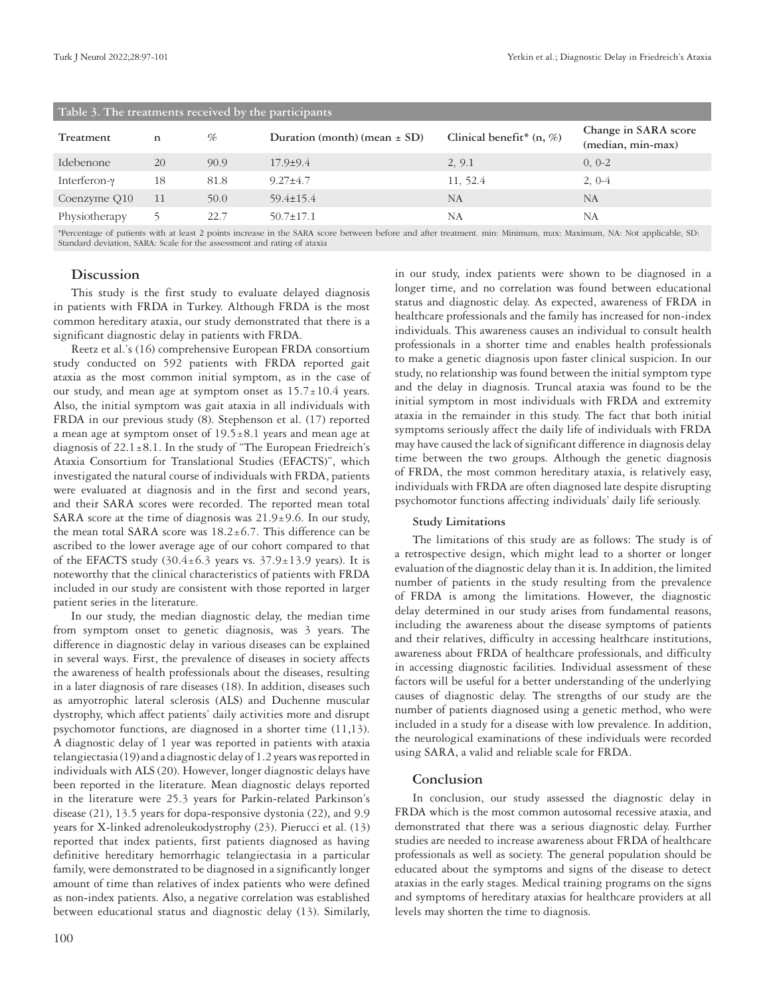| Table 3. The treatments received by the participants |    |      |                                  |                             |                                           |  |  |
|------------------------------------------------------|----|------|----------------------------------|-----------------------------|-------------------------------------------|--|--|
| Treatment                                            | n  | %    | Duration (month) (mean $\pm$ SD) | Clinical benefit* $(n, \%)$ | Change in SARA score<br>(median, min-max) |  |  |
| Idebenone                                            | 20 | 90.9 | $17.9 \pm 9.4$                   | 2, 9.1                      | $0, 0-2$                                  |  |  |
| Interferon-y                                         | 18 | 81.8 | $9.27 \pm 4.7$                   | 11, 52.4                    | $2,0-4$                                   |  |  |
| Coenzyme Q10                                         | 11 | 50.0 | $59.4 \pm 15.4$                  | NA                          | NA                                        |  |  |
| Physiotherapy                                        |    | 22.7 | $50.7 \pm 17.1$                  | NA                          | NA                                        |  |  |
|                                                      |    |      |                                  |                             |                                           |  |  |

\*Percentage of patients with at least 2 points increase in the SARA score between before and after treatment. min: Minimum, max: Maximum, NA: Not applicable, SD: Standard deviation, SARA: Scale for the assessment and rating of ataxia

#### **Discussion**

This study is the first study to evaluate delayed diagnosis in patients with FRDA in Turkey. Although FRDA is the most common hereditary ataxia, our study demonstrated that there is a significant diagnostic delay in patients with FRDA.

Reetz et al.'s (16) comprehensive European FRDA consortium study conducted on 592 patients with FRDA reported gait ataxia as the most common initial symptom, as in the case of our study, and mean age at symptom onset as  $15.7 \pm 10.4$  years. Also, the initial symptom was gait ataxia in all individuals with FRDA in our previous study (8). Stephenson et al. (17) reported a mean age at symptom onset of  $19.5 \pm 8.1$  years and mean age at diagnosis of  $22.1 \pm 8.1$ . In the study of "The European Friedreich's Ataxia Consortium for Translational Studies (EFACTS)", which investigated the natural course of individuals with FRDA, patients were evaluated at diagnosis and in the first and second years, and their SARA scores were recorded. The reported mean total SARA score at the time of diagnosis was  $21.9\pm9.6$ . In our study, the mean total SARA score was  $18.2 \pm 6.7$ . This difference can be ascribed to the lower average age of our cohort compared to that of the EFACTS study  $(30.4 \pm 6.3)$  years vs.  $37.9 \pm 13.9$  years). It is noteworthy that the clinical characteristics of patients with FRDA included in our study are consistent with those reported in larger patient series in the literature.

In our study, the median diagnostic delay, the median time from symptom onset to genetic diagnosis, was 3 years. The difference in diagnostic delay in various diseases can be explained in several ways. First, the prevalence of diseases in society affects the awareness of health professionals about the diseases, resulting in a later diagnosis of rare diseases (18). In addition, diseases such as amyotrophic lateral sclerosis (ALS) and Duchenne muscular dystrophy, which affect patients' daily activities more and disrupt psychomotor functions, are diagnosed in a shorter time (11,13). A diagnostic delay of 1 year was reported in patients with ataxia telangiectasia (19) and a diagnostic delay of 1.2 years was reported in individuals with ALS (20). However, longer diagnostic delays have been reported in the literature. Mean diagnostic delays reported in the literature were 25.3 years for Parkin-related Parkinson's disease (21), 13.5 years for dopa-responsive dystonia (22), and 9.9 years for X-linked adrenoleukodystrophy (23). Pierucci et al. (13) reported that index patients, first patients diagnosed as having definitive hereditary hemorrhagic telangiectasia in a particular family, were demonstrated to be diagnosed in a significantly longer amount of time than relatives of index patients who were defined as non-index patients. Also, a negative correlation was established between educational status and diagnostic delay (13). Similarly,

in our study, index patients were shown to be diagnosed in a longer time, and no correlation was found between educational status and diagnostic delay. As expected, awareness of FRDA in healthcare professionals and the family has increased for non-index individuals. This awareness causes an individual to consult health professionals in a shorter time and enables health professionals to make a genetic diagnosis upon faster clinical suspicion. In our study, no relationship was found between the initial symptom type and the delay in diagnosis. Truncal ataxia was found to be the initial symptom in most individuals with FRDA and extremity ataxia in the remainder in this study. The fact that both initial symptoms seriously affect the daily life of individuals with FRDA may have caused the lack of significant difference in diagnosis delay time between the two groups. Although the genetic diagnosis of FRDA, the most common hereditary ataxia, is relatively easy, individuals with FRDA are often diagnosed late despite disrupting psychomotor functions affecting individuals' daily life seriously.

#### **Study Limitations**

The limitations of this study are as follows: The study is of a retrospective design, which might lead to a shorter or longer evaluation of the diagnostic delay than it is. In addition, the limited number of patients in the study resulting from the prevalence of FRDA is among the limitations. However, the diagnostic delay determined in our study arises from fundamental reasons, including the awareness about the disease symptoms of patients and their relatives, difficulty in accessing healthcare institutions, awareness about FRDA of healthcare professionals, and difficulty in accessing diagnostic facilities. Individual assessment of these factors will be useful for a better understanding of the underlying causes of diagnostic delay. The strengths of our study are the number of patients diagnosed using a genetic method, who were included in a study for a disease with low prevalence. In addition, the neurological examinations of these individuals were recorded using SARA, a valid and reliable scale for FRDA.

#### **Conclusion**

In conclusion, our study assessed the diagnostic delay in FRDA which is the most common autosomal recessive ataxia, and demonstrated that there was a serious diagnostic delay. Further studies are needed to increase awareness about FRDA of healthcare professionals as well as society. The general population should be educated about the symptoms and signs of the disease to detect ataxias in the early stages. Medical training programs on the signs and symptoms of hereditary ataxias for healthcare providers at all levels may shorten the time to diagnosis.